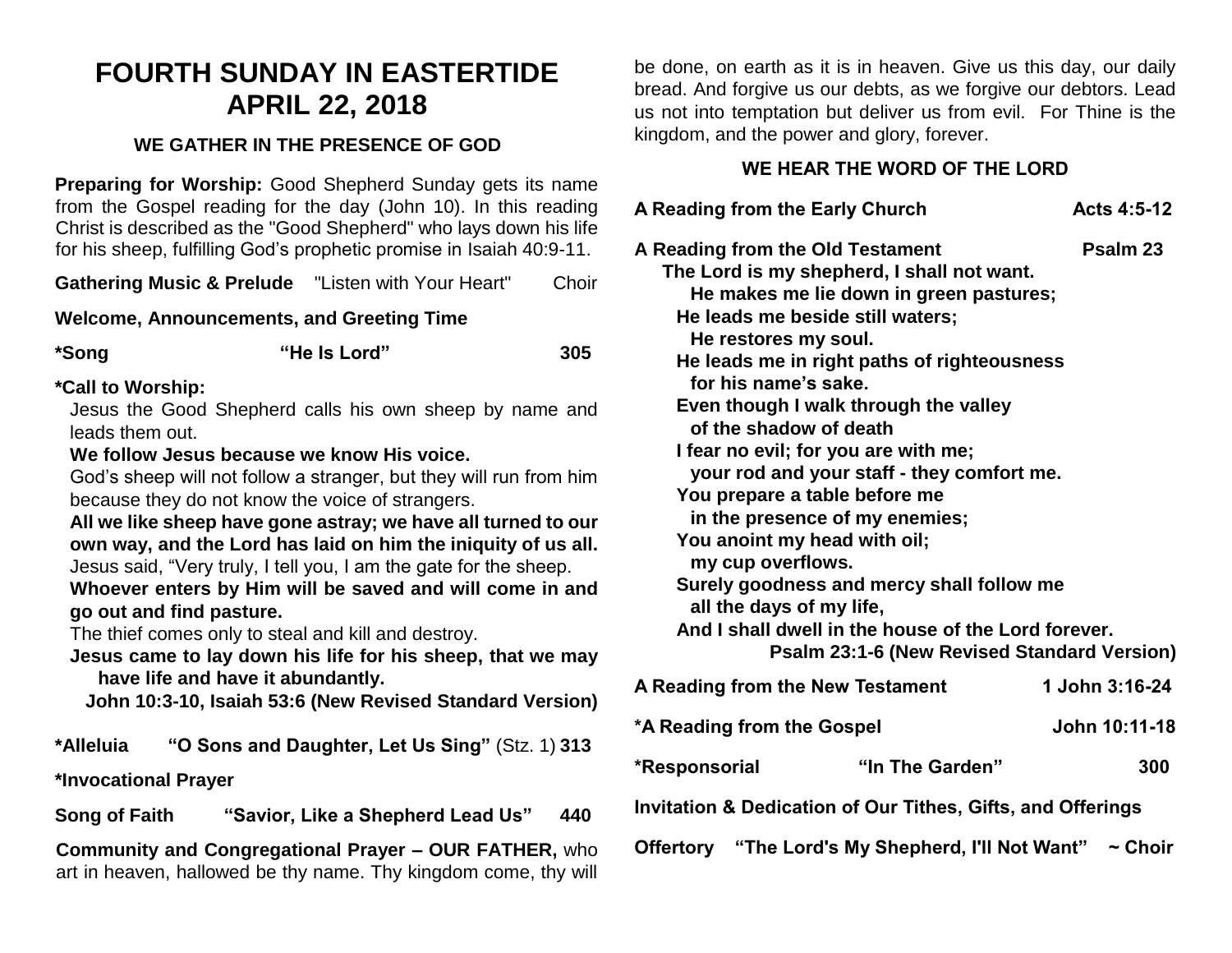# **FOURTH SUNDAY IN EASTERTIDE APRIL 22, 2018**

#### **WE GATHER IN THE PRESENCE OF GOD**

**Preparing for Worship:** Good Shepherd Sunday gets its name from the Gospel reading for the day (John 10). In this reading Christ is described as the "Good Shepherd" who lays down his life for his sheep, fulfilling God's prophetic promise in Isaiah 40:9-11.

| <b>Gathering Music &amp; Prelude</b> | "Listen with Your Heart" | Choir |
|--------------------------------------|--------------------------|-------|
|--------------------------------------|--------------------------|-------|

**Welcome, Announcements, and Greeting Time** 

| *Song | "He Is Lord" | 305 |
|-------|--------------|-----|
|       |              |     |

#### **\*Call to Worship:**

Jesus the Good Shepherd calls his own sheep by name and leads them out.

#### **We follow Jesus because we know His voice.**

God's sheep will not follow a stranger, but they will run from him because they do not know the voice of strangers.

**All we like sheep have gone astray; we have all turned to our own way, and the Lord has laid on him the iniquity of us all.** Jesus said, "Very truly, I tell you, I am the gate for the sheep.

**Whoever enters by Him will be saved and will come in and go out and find pasture.**

The thief comes only to steal and kill and destroy.

**Jesus came to lay down his life for his sheep, that we may have life and have it abundantly.**

**John 10:3-10, Isaiah 53:6 (New Revised Standard Version)**

**\*Alleluia "O Sons and Daughter, Let Us Sing"** (Stz. 1) **313**

**\*Invocational Prayer**

**Song of Faith "Savior, Like a Shepherd Lead Us" 440**

**Community and Congregational Prayer – OUR FATHER,** who art in heaven, hallowed be thy name. Thy kingdom come, thy will be done, on earth as it is in heaven. Give us this day, our daily bread. And forgive us our debts, as we forgive our debtors. Lead us not into temptation but deliver us from evil. For Thine is the kingdom, and the power and glory, forever.

## **WE HEAR THE WORD OF THE LORD**

| A Reading from the Early Church                                                                                                                                                                                              |                                                                                                                                                                                                                                                                                                                                                                                                                                                                                                     | Acts 4:5-12    |
|------------------------------------------------------------------------------------------------------------------------------------------------------------------------------------------------------------------------------|-----------------------------------------------------------------------------------------------------------------------------------------------------------------------------------------------------------------------------------------------------------------------------------------------------------------------------------------------------------------------------------------------------------------------------------------------------------------------------------------------------|----------------|
| A Reading from the Old Testament<br>He restores my soul.<br>for his name's sake.<br>of the shadow of death<br>You prepare a table before me<br>You anoint my head with oil;<br>my cup overflows.<br>all the days of my life, | The Lord is my shepherd, I shall not want.<br>He makes me lie down in green pastures;<br>He leads me beside still waters;<br>He leads me in right paths of righteousness<br>Even though I walk through the valley<br>I fear no evil; for you are with me;<br>your rod and your staff - they comfort me.<br>in the presence of my enemies;<br>Surely goodness and mercy shall follow me<br>And I shall dwell in the house of the Lord forever.<br><b>Psalm 23:1-6 (New Revised Standard Version)</b> | Psalm 23       |
| A Reading from the New Testament                                                                                                                                                                                             |                                                                                                                                                                                                                                                                                                                                                                                                                                                                                                     | 1 John 3:16-24 |
| *A Reading from the Gospel                                                                                                                                                                                                   |                                                                                                                                                                                                                                                                                                                                                                                                                                                                                                     | John 10:11-18  |
| *Responsorial                                                                                                                                                                                                                | "In The Garden"                                                                                                                                                                                                                                                                                                                                                                                                                                                                                     | 300            |
| <b>Invitation &amp; Dedication of Our Tithes, Gifts, and Offerings</b>                                                                                                                                                       |                                                                                                                                                                                                                                                                                                                                                                                                                                                                                                     |                |
|                                                                                                                                                                                                                              | Offertory "The Lord's My Shepherd, I'll Not Want" ~ Choir                                                                                                                                                                                                                                                                                                                                                                                                                                           |                |